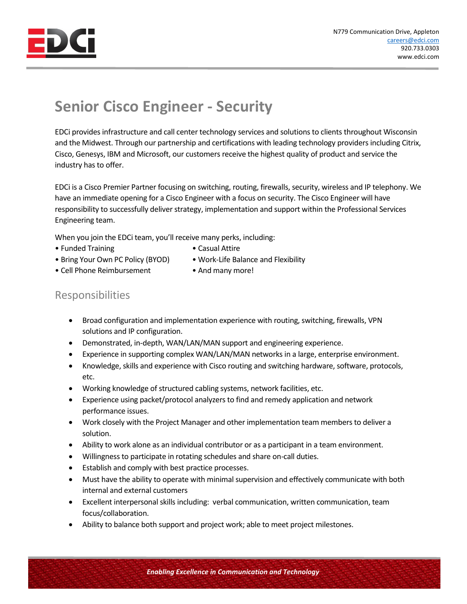

## **Senior Cisco Engineer - Security**

EDCi provides infrastructure and call center technology services and solutions to clients throughout Wisconsin and the Midwest. Through our partnership and certifications with leading technology providers including Citrix, Cisco, Genesys, IBM and Microsoft, our customers receive the highest quality of product and service the industry has to offer.

EDCi is a Cisco Premier Partner focusing on switching, routing, firewalls, security, wireless and IP telephony. We have an immediate opening for a Cisco Engineer with a focus on security. The Cisco Engineer will have responsibility to successfully deliver strategy, implementation and support within the Professional Services Engineering team.

When you join the EDCi team, you'll receive many perks, including:

- Funded Training  **Casual Attire**
- 
- Bring Your Own PC Policy (BYOD) Work-Life Balance and Flexibility
- Cell Phone Reimbursement And many more!

## Responsibilities

- Broad configuration and implementation experience with routing, switching, firewalls, VPN solutions and IP configuration.
- Demonstrated, in-depth, WAN/LAN/MAN support and engineering experience.
- Experience in supporting complex WAN/LAN/MAN networks in a large, enterprise environment.
- Knowledge, skills and experience with Cisco routing and switching hardware, software, protocols, etc.
- Working knowledge of structured cabling systems, network facilities, etc.
- Experience using packet/protocol analyzers to find and remedy application and network performance issues.
- Work closely with the Project Manager and other implementation team members to deliver a solution.
- Ability to work alone as an individual contributor or as a participant in a team environment.
- Willingness to participate in rotating schedules and share on-call duties.
- Establish and comply with best practice processes.
- Must have the ability to operate with minimal supervision and effectively communicate with both internal and external customers
- Excellent interpersonal skills including: verbal communication, written communication, team focus/collaboration.
- Ability to balance both support and project work; able to meet project milestones.